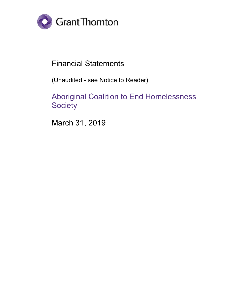

# Financial Statements

(Unaudited - see Notice to Reader)

Aboriginal Coalition to End Homelessness **Society** 

March 31, 2019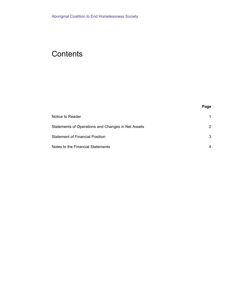# **Contents**

| Notice to Reader                                   |   |
|----------------------------------------------------|---|
| Statements of Operations and Changes in Net Assets | 2 |
| <b>Statement of Financial Position</b>             | 3 |
| Notes to the Financial Statements                  | 4 |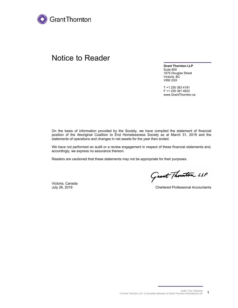

## Notice to Reader

**Grant Thornton LLP** Suite 650 1675 Douglas Street Victoria, BC V8W 2G5

T +1 250 383 4191 F +1 250 381 4623 www.GrantThornton.ca

On the basis of information provided by the Society, we have compiled the statement of financial position of the Aboriginal Coalition to End Homelessness Society as at March 31, 2019 and the statements of operations and changes in net assets for the year then ended.

We have not performed an audit or a review engagement in respect of these financial statements and, accordingly, we express no assurance thereon.

Readers are cautioned that these statements may not be appropriate for their purposes.

Victoria, Canada

Grant Thouton LLP

July 26, 2019 Chartered Professional Accountants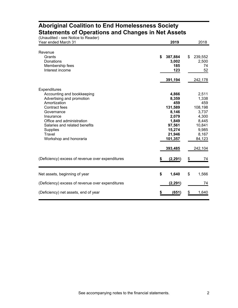| (Unaudited - see Notice to Reader)<br>Year ended March 31                             | 2019                                 | 2018                               |
|---------------------------------------------------------------------------------------|--------------------------------------|------------------------------------|
| Revenue<br>Grants<br>Donations<br>Membership fees<br>Interest income                  | \$<br>387,884<br>3,002<br>185<br>123 | \$<br>239,552<br>2,500<br>74<br>52 |
| Expenditures<br>Accounting and bookkeeping                                            | 391,194<br>4,866                     | 242,178<br>2,511                   |
| Advertising and promotion<br>Amortization<br>Contract fees                            | 8,359<br>459<br>131,589              | 1,338<br>459<br>108,198            |
| Governance<br>Insurance<br>Office and administration<br>Salaries and related benefits | 8,146<br>2,079<br>1,849<br>97,561    | 3,737<br>4,300<br>8,445<br>10,841  |
| <b>Supplies</b><br>Travel<br>Workshop and honoraria                                   | 15,274<br>21,946<br>101,357          | 9,985<br>8,167<br>84,123           |
|                                                                                       | 393,485                              | 242,104                            |
| (Deficiency) excess of revenue over expenditures                                      | \$<br>(2, 291)                       | \$<br>74                           |
| Net assets, beginning of year                                                         | \$<br>1,640                          | \$<br>1,566                        |
| (Deficiency) excess of revenue over expenditures                                      | (2, 291)                             | 74                                 |
| (Deficiency) net assets, end of year                                                  | (651)                                | \$<br>1,640                        |

### **Aboriginal Coalition to End Homelessness Society Statements of Operations and Changes in Net Assets**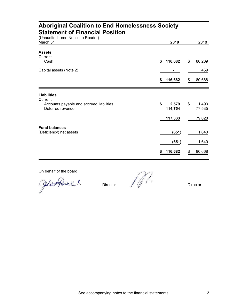| (Unaudited - see Notice to Reader)<br>March 31                                                | 2019                                    | 2018                      |
|-----------------------------------------------------------------------------------------------|-----------------------------------------|---------------------------|
| <b>Assets</b><br>Current<br>Cash                                                              | \$<br>116,682<br>\$                     | 80,209                    |
| Capital assets (Note 2)                                                                       |                                         | 459                       |
|                                                                                               | 116,682<br>\$<br>S                      | 80,668                    |
| <b>Liabilities</b><br>Current<br>Accounts payable and accrued liabilities<br>Deferred revenue | \$<br>\$<br>2,579<br>114,754<br>117,333 | 1,493<br>77,535<br>79,028 |
| <b>Fund balances</b><br>(Deficiency) net assets                                               | (651)<br>(651)                          | 1,640<br>1,640            |
|                                                                                               | 116,682<br>\$<br>S                      | 80,668                    |

#### **Aboriginal Coalition to End Homelessness Society Statement of Financial Position**

On behalf of the board

 $\cal{L}$ Hure

Director J///